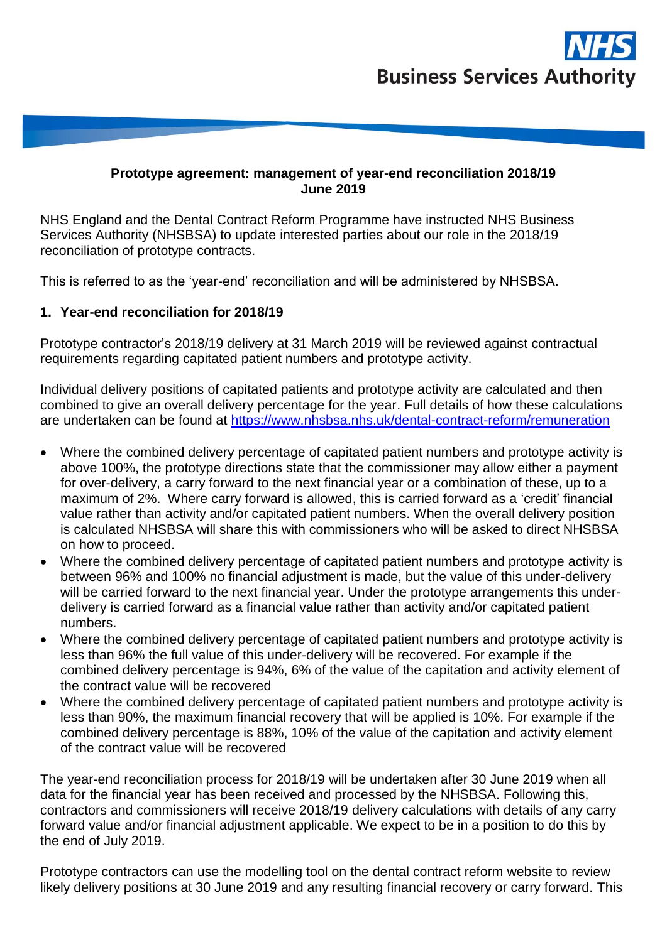## **Prototype agreement: management of year-end reconciliation 2018/19 June 2019**

NHS England and the Dental Contract Reform Programme have instructed NHS Business Services Authority (NHSBSA) to update interested parties about our role in the 2018/19 reconciliation of prototype contracts.

This is referred to as the 'year-end' reconciliation and will be administered by NHSBSA.

## **1. Year-end reconciliation for 2018/19**

Prototype contractor's 2018/19 delivery at 31 March 2019 will be reviewed against contractual requirements regarding capitated patient numbers and prototype activity.

Individual delivery positions of capitated patients and prototype activity are calculated and then combined to give an overall delivery percentage for the year. Full details of how these calculations are undertaken can be found at<https://www.nhsbsa.nhs.uk/dental-contract-reform/remuneration>

- Where the combined delivery percentage of capitated patient numbers and prototype activity is above 100%, the prototype directions state that the commissioner may allow either a payment for over-delivery, a carry forward to the next financial year or a combination of these, up to a maximum of 2%. Where carry forward is allowed, this is carried forward as a 'credit' financial value rather than activity and/or capitated patient numbers. When the overall delivery position is calculated NHSBSA will share this with commissioners who will be asked to direct NHSBSA on how to proceed.
- Where the combined delivery percentage of capitated patient numbers and prototype activity is between 96% and 100% no financial adjustment is made, but the value of this under-delivery will be carried forward to the next financial year. Under the prototype arrangements this underdelivery is carried forward as a financial value rather than activity and/or capitated patient numbers.
- Where the combined delivery percentage of capitated patient numbers and prototype activity is less than 96% the full value of this under-delivery will be recovered. For example if the combined delivery percentage is 94%, 6% of the value of the capitation and activity element of the contract value will be recovered
- Where the combined delivery percentage of capitated patient numbers and prototype activity is less than 90%, the maximum financial recovery that will be applied is 10%. For example if the combined delivery percentage is 88%, 10% of the value of the capitation and activity element of the contract value will be recovered

The year-end reconciliation process for 2018/19 will be undertaken after 30 June 2019 when all data for the financial year has been received and processed by the NHSBSA. Following this, contractors and commissioners will receive 2018/19 delivery calculations with details of any carry forward value and/or financial adjustment applicable. We expect to be in a position to do this by the end of July 2019.

Prototype contractors can use the modelling tool on the dental contract reform website to review likely delivery positions at 30 June 2019 and any resulting financial recovery or carry forward. This